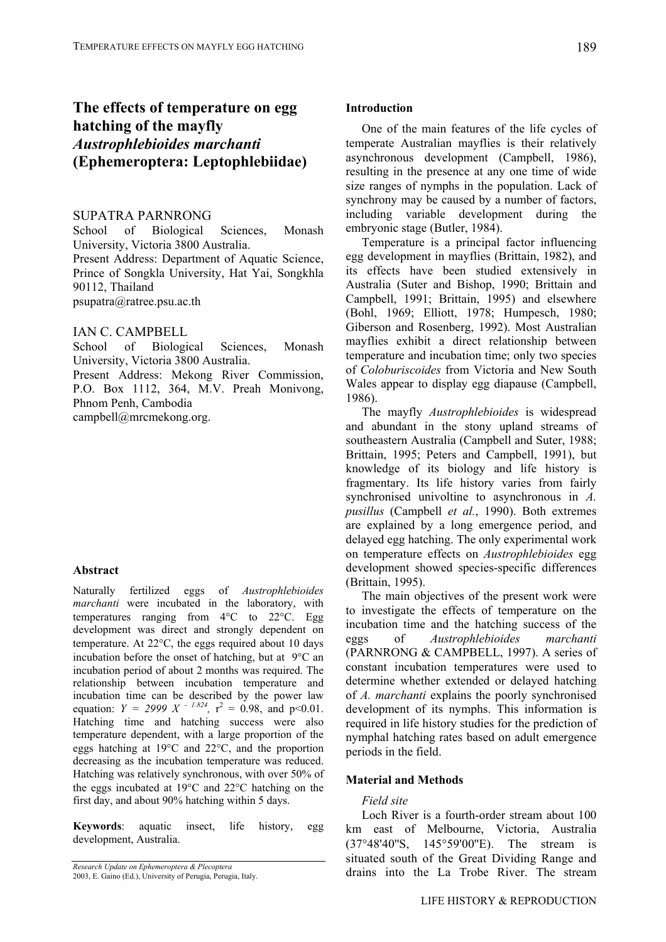# **The effects of temperature on egg hatching of the mayfly**  *Austrophlebioides marchanti* **(Ephemeroptera: Leptophlebiidae)**

# SUPATRA PARNRONG

School of Biological Sciences, Monash University, Victoria 3800 Australia. Present Address: Department of Aquatic Science, Prince of Songkla University, Hat Yai, Songkhla 90112, Thailand psupatra@ratree.psu.ac.th

# IAN C. CAMPBELL

School of Biological Sciences, Monash University, Victoria 3800 Australia. Present Address: Mekong River Commission,

P.O. Box 1112, 364, M.V. Preah Monivong, Phnom Penh, Cambodia

campbell@mrcmekong.org.

#### **Abstract**

Naturally fertilized eggs of *Austrophlebioides marchanti* were incubated in the laboratory, with temperatures ranging from 4°C to 22°C. Egg development was direct and strongly dependent on temperature. At 22°C, the eggs required about 10 days incubation before the onset of hatching, but at  $9^{\circ}$ C an incubation period of about 2 months was required. The relationship between incubation temperature and incubation time can be described by the power law equation:  $Y = 2999 X - 1.824$ ,  $r^2 = 0.98$ , and p<0.01. Hatching time and hatching success were also temperature dependent, with a large proportion of the eggs hatching at 19°C and 22°C, and the proportion decreasing as the incubation temperature was reduced. Hatching was relatively synchronous, with over 50% of the eggs incubated at 19°C and 22°C hatching on the first day, and about 90% hatching within 5 days.

**Keywords**: aquatic insect, life history, egg development, Australia.

#### **Introduction**

One of the main features of the life cycles of temperate Australian mayflies is their relatively asynchronous development (Campbell, 1986), resulting in the presence at any one time of wide size ranges of nymphs in the population. Lack of synchrony may be caused by a number of factors, including variable development during the embryonic stage (Butler, 1984).

Temperature is a principal factor influencing egg development in mayflies (Brittain, 1982), and its effects have been studied extensively in Australia (Suter and Bishop, 1990; Brittain and Campbell, 1991; Brittain, 1995) and elsewhere (Bohl, 1969; Elliott, 1978; Humpesch, 1980; Giberson and Rosenberg, 1992). Most Australian mayflies exhibit a direct relationship between temperature and incubation time; only two species of *Coloburiscoides* from Victoria and New South Wales appear to display egg diapause (Campbell, 1986).

The mayfly *Austrophlebioides* is widespread and abundant in the stony upland streams of southeastern Australia (Campbell and Suter, 1988; Brittain, 1995; Peters and Campbell, 1991), but knowledge of its biology and life history is fragmentary. Its life history varies from fairly synchronised univoltine to asynchronous in *A. pusillus* (Campbell *et al.*, 1990). Both extremes are explained by a long emergence period, and delayed egg hatching. The only experimental work on temperature effects on *Austrophlebioides* egg development showed species-specific differences (Brittain, 1995).

The main objectives of the present work were to investigate the effects of temperature on the incubation time and the hatching success of the eggs of *Austrophlebioides marchanti* (PARNRONG & CAMPBELL, 1997). A series of constant incubation temperatures were used to determine whether extended or delayed hatching of *A. marchanti* explains the poorly synchronised development of its nymphs. This information is required in life history studies for the prediction of nymphal hatching rates based on adult emergence periods in the field.

# **Material and Methods**

# *Field site*

Loch River is a fourth-order stream about 100 km east of Melbourne, Victoria, Australia (37°48'40''S, 145°59'00''E). The stream is situated south of the Great Dividing Range and drains into the La Trobe River. The stream

*Research Update on Ephemeroptera & Plecoptera* 

<sup>2003,</sup> E. Gaino (Ed.), University of Perugia, Perugia, Italy.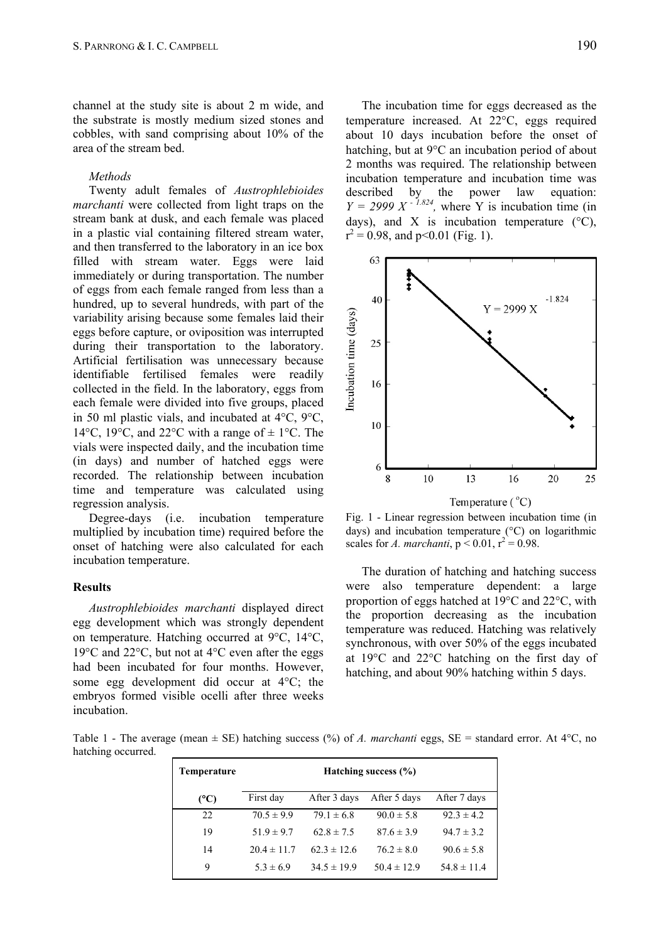channel at the study site is about 2 m wide, and the substrate is mostly medium sized stones and cobbles, with sand comprising about 10% of the area of the stream bed.

## *Methods*

Twenty adult females of *Austrophlebioides marchanti* were collected from light traps on the stream bank at dusk, and each female was placed in a plastic vial containing filtered stream water, and then transferred to the laboratory in an ice box filled with stream water. Eggs were laid immediately or during transportation. The number of eggs from each female ranged from less than a hundred, up to several hundreds, with part of the variability arising because some females laid their eggs before capture, or oviposition was interrupted during their transportation to the laboratory. Artificial fertilisation was unnecessary because identifiable fertilised females were readily collected in the field. In the laboratory, eggs from each female were divided into five groups, placed in 50 ml plastic vials, and incubated at 4°C, 9°C, 14 $\rm{°C}$ , 19 $\rm{°C}$ , and 22 $\rm{°C}$  with a range of  $\pm$  1 $\rm{°C}$ . The vials were inspected daily, and the incubation time (in days) and number of hatched eggs were recorded. The relationship between incubation time and temperature was calculated using regression analysis.

Degree-days (i.e. incubation temperature multiplied by incubation time) required before the onset of hatching were also calculated for each incubation temperature.

### **Results**

*Austrophlebioides marchanti* displayed direct egg development which was strongly dependent on temperature. Hatching occurred at 9°C, 14°C, 19°C and 22°C, but not at 4°C even after the eggs had been incubated for four months. However, some egg development did occur at 4°C; the embryos formed visible ocelli after three weeks incubation.

The incubation time for eggs decreased as the temperature increased. At 22°C, eggs required about 10 days incubation before the onset of hatching, but at 9°C an incubation period of about 2 months was required. The relationship between incubation temperature and incubation time was described by the power law equation:  $Y = 2999 X^{-1.824}$ , where Y is incubation time (in days), and X is incubation temperature  $(^{\circ}C)$ ,  $r^2 = 0.98$ , and p<0.01 (Fig. 1).



Fig. 1 - Linear regression between incubation time (in days) and incubation temperature (°C) on logarithmic scales for *A. marchanti*,  $p < 0.01$ ,  $r^2 = 0.98$ .

The duration of hatching and hatching success were also temperature dependent: a large proportion of eggs hatched at 19°C and 22°C, with the proportion decreasing as the incubation temperature was reduced. Hatching was relatively synchronous, with over 50% of the eggs incubated at 19°C and 22°C hatching on the first day of hatching, and about 90% hatching within 5 days.

Table 1 - The average (mean  $\pm$  SE) hatching success (%) of *A. marchanti* eggs, SE = standard error. At 4<sup>o</sup>C, no hatching occurred.

| <b>Temperature</b> | Hatching success $(\% )$ |                 |                 |                 |
|--------------------|--------------------------|-----------------|-----------------|-----------------|
| (C)                | First day                | After 3 days    | After 5 days    | After 7 days    |
| 22                 | $70.5 \pm 9.9$           | $79.1 \pm 6.8$  | $90.0 \pm 5.8$  | $92.3 \pm 4.2$  |
| 19                 | $51.9 \pm 9.7$           | $62.8 \pm 7.5$  | $87.6 \pm 3.9$  | $94.7 \pm 3.2$  |
| 14                 | $20.4 \pm 11.7$          | $62.3 \pm 12.6$ | $76.2 \pm 8.0$  | $90.6 \pm 5.8$  |
| 9                  | $5.3 \pm 6.9$            | $34.5 \pm 19.9$ | $50.4 \pm 12.9$ | $54.8 \pm 11.4$ |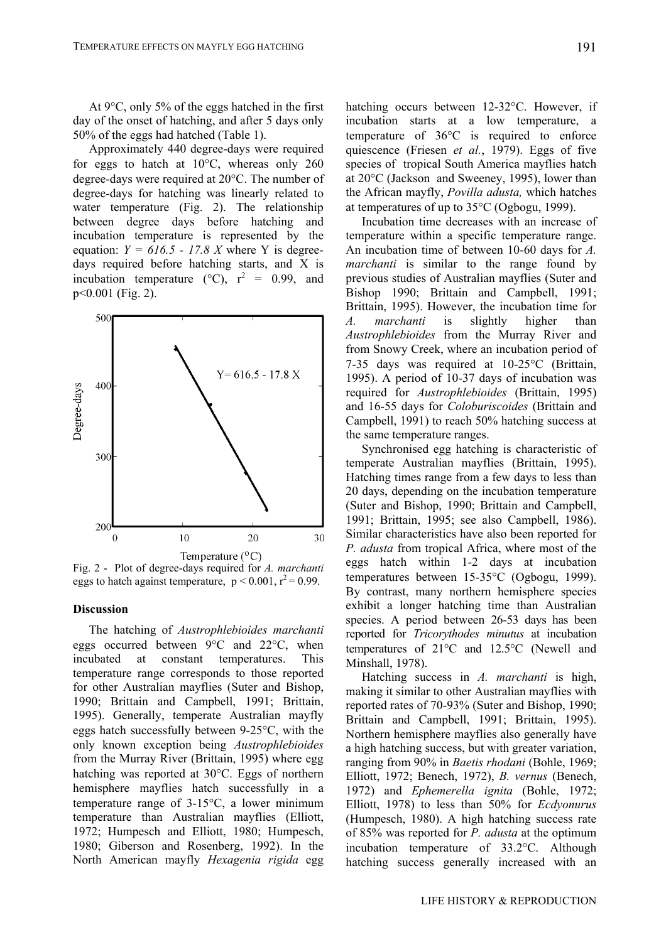At 9°C, only 5% of the eggs hatched in the first day of the onset of hatching, and after 5 days only 50% of the eggs had hatched (Table 1).

Approximately 440 degree-days were required for eggs to hatch at 10°C, whereas only 260 degree-days were required at 20°C. The number of degree-days for hatching was linearly related to water temperature (Fig. 2). The relationship between degree days before hatching and incubation temperature is represented by the equation:  $Y = 616.5 - 17.8 X$  where Y is degreedays required before hatching starts, and X is incubation temperature (°C),  $r^2 = 0.99$ , and p<0.001 (Fig. 2).



Fig. 2 - Plot of degree-days required for *A. marchanti* eggs to hatch against temperature,  $p < 0.001$ ,  $r^2 = 0.99$ .

# **Discussion**

The hatching of *Austrophlebioides marchanti* eggs occurred between 9°C and 22°C, when incubated at constant temperatures. This temperature range corresponds to those reported for other Australian mayflies (Suter and Bishop, 1990; Brittain and Campbell, 1991; Brittain, 1995). Generally, temperate Australian mayfly eggs hatch successfully between 9-25°C, with the only known exception being *Austrophlebioides* from the Murray River (Brittain, 1995) where egg hatching was reported at 30°C. Eggs of northern hemisphere mayflies hatch successfully in a temperature range of 3-15°C, a lower minimum temperature than Australian mayflies (Elliott, 1972; Humpesch and Elliott, 1980; Humpesch, 1980; Giberson and Rosenberg, 1992). In the North American mayfly *Hexagenia rigida* egg hatching occurs between 12-32°C. However, if incubation starts at a low temperature, a temperature of 36°C is required to enforce quiescence (Friesen *et al.*, 1979). Eggs of five species of tropical South America mayflies hatch at 20°C (Jackson and Sweeney, 1995), lower than the African mayfly, *Povilla adusta,* which hatches at temperatures of up to 35°C (Ogbogu, 1999).

Incubation time decreases with an increase of temperature within a specific temperature range. An incubation time of between 10-60 days for *A. marchanti* is similar to the range found by previous studies of Australian mayflies (Suter and Bishop 1990; Brittain and Campbell, 1991; Brittain, 1995). However, the incubation time for *A. marchanti* is slightly higher than *Austrophlebioides* from the Murray River and from Snowy Creek, where an incubation period of 7-35 days was required at 10-25°C (Brittain, 1995). A period of 10-37 days of incubation was required for *Austrophlebioides* (Brittain, 1995) and 16-55 days for *Coloburiscoides* (Brittain and Campbell, 1991) to reach 50% hatching success at the same temperature ranges.

Synchronised egg hatching is characteristic of temperate Australian mayflies (Brittain, 1995). Hatching times range from a few days to less than 20 days, depending on the incubation temperature (Suter and Bishop, 1990; Brittain and Campbell, 1991; Brittain, 1995; see also Campbell, 1986). Similar characteristics have also been reported for *P. adusta* from tropical Africa, where most of the eggs hatch within 1-2 days at incubation temperatures between 15-35°C (Ogbogu, 1999). By contrast, many northern hemisphere species exhibit a longer hatching time than Australian species. A period between 26-53 days has been reported for *Tricorythodes minutus* at incubation temperatures of 21°C and 12.5°C (Newell and Minshall, 1978).

Hatching success in *A. marchanti* is high, making it similar to other Australian mayflies with reported rates of 70-93% (Suter and Bishop, 1990; Brittain and Campbell, 1991; Brittain, 1995). Northern hemisphere mayflies also generally have a high hatching success, but with greater variation, ranging from 90% in *Baetis rhodani* (Bohle, 1969; Elliott, 1972; Benech, 1972), *B. vernus* (Benech, 1972) and *Ephemerella ignita* (Bohle, 1972; Elliott, 1978) to less than 50% for *Ecdyonurus* (Humpesch, 1980). A high hatching success rate of 85% was reported for *P. adusta* at the optimum incubation temperature of 33.2°C. Although hatching success generally increased with an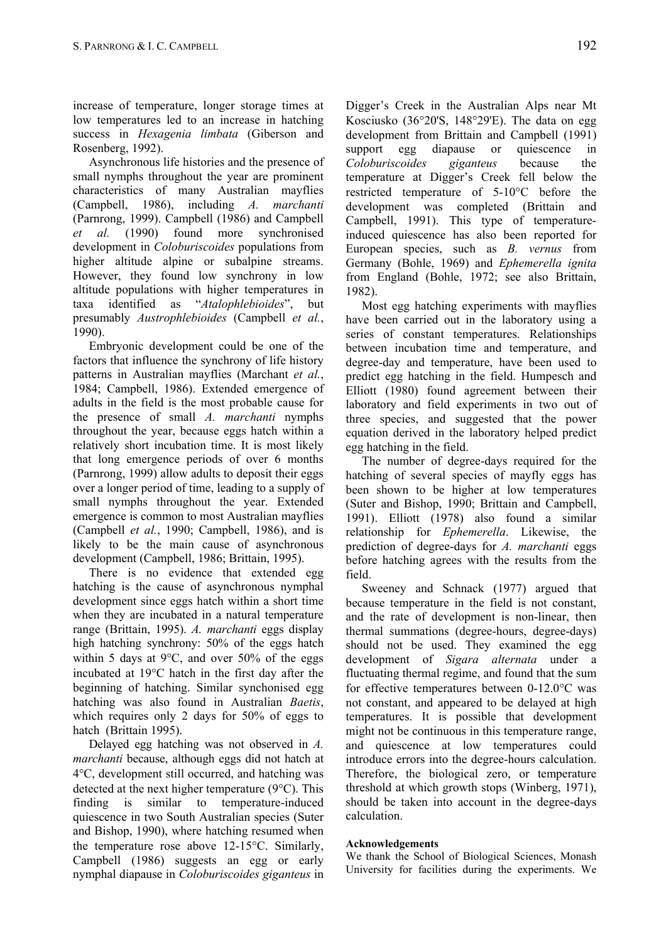increase of temperature, longer storage times at low temperatures led to an increase in hatching success in *Hexagenia limbata* (Giberson and Rosenberg, 1992).

Asynchronous life histories and the presence of small nymphs throughout the year are prominent characteristics of many Australian mayflies (Campbell, 1986), including *A. marchanti* (Parnrong, 1999). Campbell (1986) and Campbell *et al.* (1990) found more synchronised development in *Coloburiscoides* populations from higher altitude alpine or subalpine streams. However, they found low synchrony in low altitude populations with higher temperatures in taxa identified as "*Atalophlebioides*", but presumably *Austrophlebioides* (Campbell *et al.*, 1990).

Embryonic development could be one of the factors that influence the synchrony of life history patterns in Australian mayflies (Marchant *et al.*, 1984; Campbell, 1986). Extended emergence of adults in the field is the most probable cause for the presence of small *A. marchanti* nymphs throughout the year, because eggs hatch within a relatively short incubation time. It is most likely that long emergence periods of over 6 months (Parnrong, 1999) allow adults to deposit their eggs over a longer period of time, leading to a supply of small nymphs throughout the year. Extended emergence is common to most Australian mayflies (Campbell *et al.*, 1990; Campbell, 1986), and is likely to be the main cause of asynchronous development (Campbell, 1986; Brittain, 1995).

There is no evidence that extended egg hatching is the cause of asynchronous nymphal development since eggs hatch within a short time when they are incubated in a natural temperature range (Brittain, 1995). *A. marchanti* eggs display high hatching synchrony: 50% of the eggs hatch within 5 days at 9 $\degree$ C, and over 50% of the eggs incubated at 19°C hatch in the first day after the beginning of hatching. Similar synchonised egg hatching was also found in Australian *Baetis*, which requires only 2 days for 50% of eggs to hatch (Brittain 1995).

Delayed egg hatching was not observed in *A. marchanti* because, although eggs did not hatch at 4°C, development still occurred, and hatching was detected at the next higher temperature (9°C). This finding is similar to temperature-induced quiescence in two South Australian species (Suter and Bishop, 1990), where hatching resumed when the temperature rose above 12-15°C. Similarly, Campbell (1986) suggests an egg or early nymphal diapause in *Coloburiscoides giganteus* in Digger's Creek in the Australian Alps near Mt Kosciusko (36°20'S, 148°29'E). The data on egg development from Brittain and Campbell (1991) support egg diapause or quiescence in *Coloburiscoides giganteus* because the temperature at Digger's Creek fell below the restricted temperature of 5-10°C before the development was completed (Brittain and Campbell, 1991). This type of temperatureinduced quiescence has also been reported for European species, such as *B. vernus* from Germany (Bohle, 1969) and *Ephemerella ignita* from England (Bohle, 1972; see also Brittain, 1982).

Most egg hatching experiments with mayflies have been carried out in the laboratory using a series of constant temperatures. Relationships between incubation time and temperature, and degree-day and temperature, have been used to predict egg hatching in the field. Humpesch and Elliott (1980) found agreement between their laboratory and field experiments in two out of three species, and suggested that the power equation derived in the laboratory helped predict egg hatching in the field.

The number of degree-days required for the hatching of several species of mayfly eggs has been shown to be higher at low temperatures (Suter and Bishop, 1990; Brittain and Campbell, 1991). Elliott (1978) also found a similar relationship for *Ephemerella*. Likewise, the prediction of degree-days for *A. marchanti* eggs before hatching agrees with the results from the field.

Sweeney and Schnack (1977) argued that because temperature in the field is not constant, and the rate of development is non-linear, then thermal summations (degree-hours, degree-days) should not be used. They examined the egg development of *Sigara alternata* under a fluctuating thermal regime, and found that the sum for effective temperatures between 0-12.0°C was not constant, and appeared to be delayed at high temperatures. It is possible that development might not be continuous in this temperature range, and quiescence at low temperatures could introduce errors into the degree-hours calculation. Therefore, the biological zero, or temperature threshold at which growth stops (Winberg, 1971), should be taken into account in the degree-days calculation.

# **Acknowledgements**

We thank the School of Biological Sciences, Monash University for facilities during the experiments. We